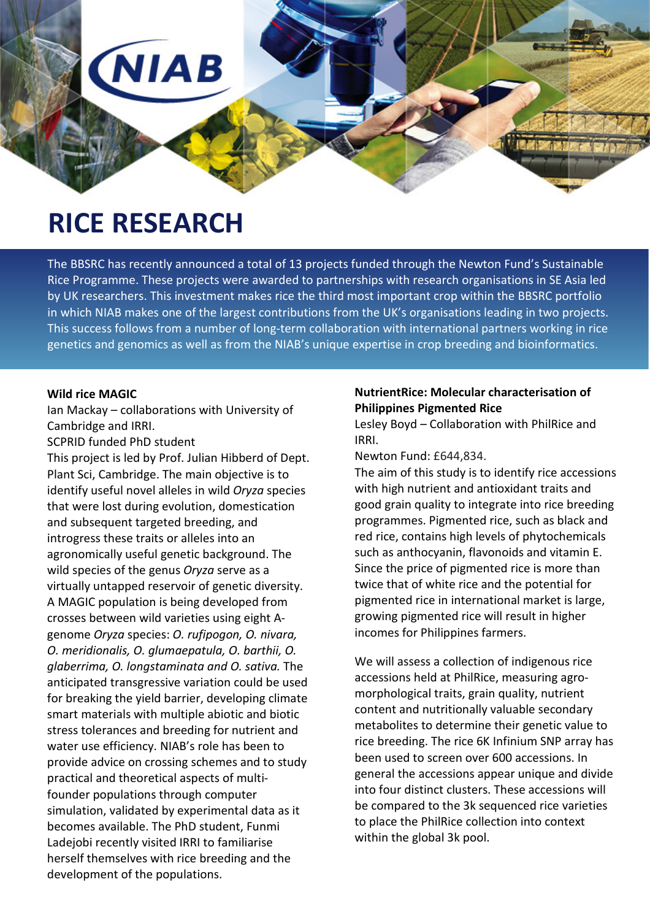

# **RICE RESEARCH**

The BBSRC has recently announced a total of 13 projects funded through the Newton Fund's Sustainable Rice Programme. These projects were awarded to partnerships with research organisations in SE Asia led by UK researchers. This investment makes rice the third most important crop within the BBSRC portfolio in which NIAB makes one of the largest contributions from the UK's organisations leading in two projects. This success follows from a number of long-term collaboration with international partners working in rice genetics and genomics as well as from the NIAB's unique expertise in crop breeding and bioinformatics.

## **Wild rice MAGIC**

Ian Mackay – collaborations with University of Cambridge and IRRI.

SCPRID funded PhD student

This project is led by Prof. Julian Hibberd of Dept. Plant Sci, Cambridge. The main objective is to identify useful novel alleles in wild *Oryza* species that were lost during evolution, domestication and subsequent targeted breeding, and introgress these traits or alleles into an agronomically useful genetic background. The wild species of the genus *Oryza* serve as a virtually untapped reservoir of genetic diversity. A MAGIC population is being developed from crosses between wild varieties using eight Agenome *Oryza* species: *O. rufipogon, O. nivara, O. meridionalis, O. glumaepatula, O. barthii, O. glaberrima, O. longstaminata and O. sativa.* The anticipated transgressive variation could be used for breaking the yield barrier, developing climate smart materials with multiple abiotic and biotic stress tolerances and breeding for nutrient and water use efficiency. NIAB's role has been to provide advice on crossing schemes and to study practical and theoretical aspects of multifounder populations through computer simulation, validated by experimental data as it becomes available. The PhD student, Funmi Ladejobi recently visited IRRI to familiarise herself themselves with rice breeding and the development of the populations.

## **NutrientRice: Molecular characterisation of Philippines Pigmented Rice**

Lesley Boyd – Collaboration with PhilRice and IRRI.

Newton Fund: £644,834.

The aim of this study is to identify rice accessions with high nutrient and antioxidant traits and good grain quality to integrate into rice breeding programmes. Pigmented rice, such as black and red rice, contains high levels of phytochemicals such as anthocyanin, flavonoids and vitamin E. Since the price of pigmented rice is more than twice that of white rice and the potential for pigmented rice in international market is large, growing pigmented rice will result in higher incomes for Philippines farmers.

We will assess a collection of indigenous rice accessions held at PhilRice, measuring agromorphological traits, grain quality, nutrient content and nutritionally valuable secondary metabolites to determine their genetic value to rice breeding. The rice 6K Infinium SNP array has been used to screen over 600 accessions. In general the accessions appear unique and divide into four distinct clusters. These accessions will be compared to the 3k sequenced rice varieties to place the PhilRice collection into context within the global 3k pool.